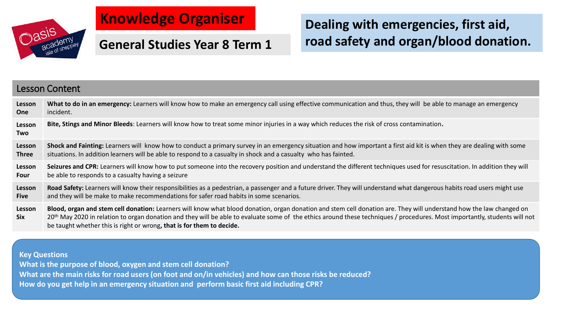

## **Knowledge Organiser**

## **General Studies Year 8 Term 1**

# **Dealing with emergencies, first aid, road safety and organ/blood donation.**

| <b>Lesson Content</b> |                                                                                                                                                                                                                                                                                                                                                                                                                                        |  |
|-----------------------|----------------------------------------------------------------------------------------------------------------------------------------------------------------------------------------------------------------------------------------------------------------------------------------------------------------------------------------------------------------------------------------------------------------------------------------|--|
| Lesson                | What to do in an emergency: Learners will know how to make an emergency call using effective communication and thus, they will be able to manage an emergency                                                                                                                                                                                                                                                                          |  |
| One                   | incident.                                                                                                                                                                                                                                                                                                                                                                                                                              |  |
| Lesson<br>Two         | Bite, Stings and Minor Bleeds: Learners will know how to treat some minor injuries in a way which reduces the risk of cross contamination.                                                                                                                                                                                                                                                                                             |  |
| Lesson                | Shock and Fainting: Learners will know how to conduct a primary survey in an emergency situation and how important a first aid kit is when they are dealing with some                                                                                                                                                                                                                                                                  |  |
| <b>Three</b>          | situations. In addition learners will be able to respond to a casualty in shock and a casualty who has fainted.                                                                                                                                                                                                                                                                                                                        |  |
| Lesson                | Seizures and CPR: Learners will know how to put someone into the recovery position and understand the different techniques used for resuscitation. In addition they will                                                                                                                                                                                                                                                               |  |
| Four                  | be able to responds to a casualty having a seizure                                                                                                                                                                                                                                                                                                                                                                                     |  |
| Lesson                | Road Safety: Learners will know their responsibilities as a pedestrian, a passenger and a future driver. They will understand what dangerous habits road users might use                                                                                                                                                                                                                                                               |  |
| <b>Five</b>           | and they will be make to make recommendations for safer road habits in some scenarios.                                                                                                                                                                                                                                                                                                                                                 |  |
| Lesson<br><b>Six</b>  | Blood, organ and stem cell donation: Learners will know what blood donation, organ donation and stem cell donation are. They will understand how the law changed on<br>20 <sup>th</sup> May 2020 in relation to organ donation and they will be able to evaluate some of the ethics around these techniques / procedures. Most importantly, students will not<br>be taught whether this is right or wrong, that is for them to decide. |  |
|                       |                                                                                                                                                                                                                                                                                                                                                                                                                                        |  |

**Key Questions What is the purpose of blood, oxygen and stem cell donation? What are the main risks for road users (on foot and on/in vehicles) and how can those risks be reduced? How do you get help in an emergency situation and perform basic first aid including CPR?**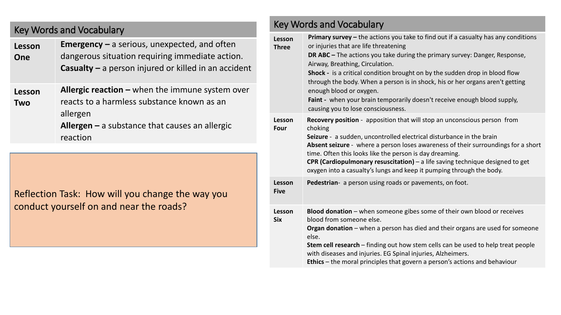### Key Words and Vocabulary

| Lesson<br>One        | <b>Emergency</b> $-$ a serious, unexpected, and often<br>dangerous situation requiring immediate action.<br><b>Casualty</b> $-$ a person injured or killed in an accident               |
|----------------------|-----------------------------------------------------------------------------------------------------------------------------------------------------------------------------------------|
| Lesson<br><b>Two</b> | <b>Allergic reaction – when the immune system over</b><br>reacts to a harmless substance known as an<br>allergen<br><b>Allergen</b> $-$ a substance that causes an allergic<br>reaction |

Reflection Task: How will you change the way you conduct yourself on and near the roads?

### Key Words and Vocabulary

| <b>Primary survey - the actions you take to find out if a casualty has any conditions</b><br>or injuries that are life threatening<br><b>DR ABC</b> - The actions you take during the primary survey: Danger, Response,<br>Airway, Breathing, Circulation.<br>Shock - is a critical condition brought on by the sudden drop in blood flow<br>through the body. When a person is in shock, his or her organs aren't getting<br>enough blood or oxygen.<br>Faint - when your brain temporarily doesn't receive enough blood supply,<br>causing you to lose consciousness. |
|-------------------------------------------------------------------------------------------------------------------------------------------------------------------------------------------------------------------------------------------------------------------------------------------------------------------------------------------------------------------------------------------------------------------------------------------------------------------------------------------------------------------------------------------------------------------------|
| Recovery position - apposition that will stop an unconscious person from<br>choking<br>Seizure - a sudden, uncontrolled electrical disturbance in the brain<br>Absent seizure - where a person loses awareness of their surroundings for a short<br>time. Often this looks like the person is day dreaming.<br><b>CPR (Cardiopulmonary resuscitation)</b> – a life saving technique designed to get<br>oxygen into a casualty's lungs and keep it pumping through the body.                                                                                             |
| Pedestrian- a person using roads or pavements, on foot.                                                                                                                                                                                                                                                                                                                                                                                                                                                                                                                 |
| Blood donation - when someone gibes some of their own blood or receives<br>blood from someone else.<br>Organ donation - when a person has died and their organs are used for someone<br>else.<br>Stem cell research - finding out how stem cells can be used to help treat people<br>with diseases and injuries. EG Spinal injuries, Alzheimers.<br>Ethics - the moral principles that govern a person's actions and behaviour                                                                                                                                          |
|                                                                                                                                                                                                                                                                                                                                                                                                                                                                                                                                                                         |